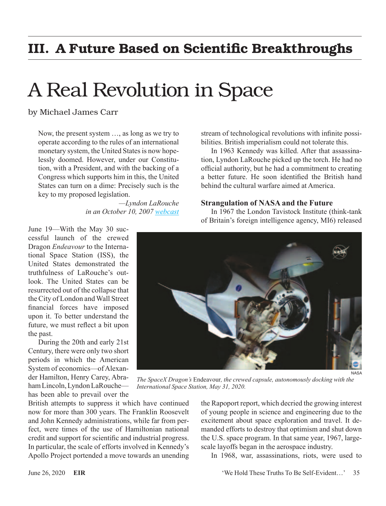# III. A Future Based on Scientific Breakthroughs

# A Real Revolution in Space

by Michael James Carr

Now, the present system …, as long as we try to operate according to the rules of an international monetary system, the United States is now hopelessly doomed. However, under our Constitution, with a President, and with the backing of a Congress which supports him in this, the United States can turn on a dime: Precisely such is the key to my proposed legislation.

> *—Lyndon LaRouche in an October 10, 2007 [webcast](https://larouchepub.com/lar/2007/webcasts/3441oct10_opener.html)*

June 19—With the May 30 successful launch of the crewed Dragon *Endeavour* to the International Space Station (ISS), the United States demonstrated the truthfulness of LaRouche's outlook. The United States can be resurrected out of the collapse that the City of London and Wall Street financial forces have imposed upon it. To better understand the future, we must reflect a bit upon the past.

During the 20th and early 21st Century, there were only two short periods in which the American System of economics—of Alexander Hamilton, Henry Carey, Abraham Lincoln, Lyndon LaRouche has been able to prevail over the

British attempts to suppress it which have continued now for more than 300 years. The Franklin Roosevelt and John Kennedy administrations, while far from perfect, were times of the use of Hamiltonian national credit and support for scientific and industrial progress. In particular, the scale of efforts involved in Kennedy's Apollo Project portended a move towards an unending stream of technological revolutions with infinite possibilities. British imperialism could not tolerate this.

In 1963 Kennedy was killed. After that assassination, Lyndon LaRouche picked up the torch. He had no official authority, but he had a commitment to creating a better future. He soon identified the British hand behind the cultural warfare aimed at America.

#### **Strangulation of NASA and the Future**

In 1967 the London Tavistock Institute (think-tank of Britain's foreign intelligence agency, MI6) released



NASA

*The SpaceX Dragon's* Endeavour*, the crewed capsule, autonomously docking with the International Space Station, May 31, 2020.*

the Rapoport report, which decried the growing interest of young people in science and engineering due to the excitement about space exploration and travel. It demanded efforts to destroy that optimism and shut down the U.S. space program. In that same year, 1967, largescale layoffs began in the aerospace industry.

In 1968, war, assassinations, riots, were used to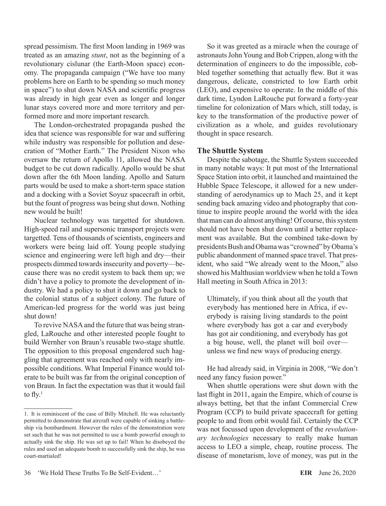spread pessimism. The first Moon landing in 1969 was treated as an amazing *stunt*, not as the beginning of a revolutionary cislunar (the Earth-Moon space) economy. The propaganda campaign ("We have too many problems here on Earth to be spending so much money in space") to shut down NASA and scientific progress was already in high gear even as longer and longer lunar stays covered more and more territory and performed more and more important research.

The London-orchestrated propaganda pushed the idea that science was responsible for war and suffering while industry was responsible for pollution and desecration of "Mother Earth." The President Nixon who oversaw the return of Apollo 11, allowed the NASA budget to be cut down radically. Apollo would be shut down after the 6th Moon landing. Apollo and Saturn parts would be used to make a short-term space station and a docking with a Soviet Soyuz spacecraft in orbit, but the fount of progress was being shut down. Nothing new would be built!

Nuclear technology was targetted for shutdown. High-speed rail and supersonic transport projects were targetted. Tens of thousands of scientists, engineers and workers were being laid off. Young people studying science and engineering were left high and dry—their prospects dimmed towards insecurity and poverty—because there was no credit system to back them up; we didn't have a policy to promote the development of industry. We had a policy to shut it down and go back to the colonial status of a subject colony. The future of American-led progress for the world was just being shut down!

To revive NASA and the future that was being strangled, LaRouche and other interested people fought to build Wernher von Braun's reusable two-stage shuttle. The opposition to this proposal engendered such haggling that agreement was reached only with nearly impossible conditions. What Imperial Finance would tolerate to be built was far from the original conception of von Braun. In fact the expectation was that it would fail to  $fly.<sup>1</sup>$ 

So it was greeted as a miracle when the courage of astronauts John Young and Bob Crippen, along with the determination of engineers to do the impossible, cobbled together something that actually flew. But it was dangerous, delicate, constricted to low Earth orbit (LEO), and expensive to operate. In the middle of this dark time, Lyndon LaRouche put forward a forty-year timeline for colonization of Mars which, still today, is key to the transformation of the productive power of civilization as a whole, and guides revolutionary thought in space research.

#### **The Shuttle System**

Despite the sabotage, the Shuttle System succeeded in many notable ways: It put most of the International Space Station into orbit, it launched and maintained the Hubble Space Telescope, it allowed for a new understanding of aerodynamics up to Mach 25, and it kept sending back amazing video and photography that continue to inspire people around the world with the idea that man can do almost anything! Of course, this system should not have been shut down until a better replacement was available. But the combined take-down by presidents Bush and Obama was "crowned" by Obama's public abandonment of manned space travel. That president, who said "We already went to the Moon," also showed his Malthusian worldview when he told a Town Hall meeting in South Africa in 2013:

Ultimately, if you think about all the youth that everybody has mentioned here in Africa, if everybody is raising living standards to the point where everybody has got a car and everybody has got air conditioning, and everybody has got a big house, well, the planet will boil over unless we find new ways of producing energy.

He had already said, in Virginia in 2008, "We don't need any fancy fusion power."

When shuttle operations were shut down with the last flight in 2011, again the Empire, which of course is always betting, bet that the infant Commercial Crew Program (CCP) to build private spacecraft for getting people to and from orbit would fail. Certainly the CCP was not focussed upon development of the *revolutionary technologies* necessary to really make human access to LEO a simple, cheap, routine process. The disease of monetarism, love of money, was put in the

<sup>1.</sup> It is reminiscent of the case of Billy Mitchell. He was reluctantly permitted to demonstrate that aircraft were capable of sinking a battleship via bombardment. However the rules of the demonstration were set such that he was not permitted to use a bomb powerful enough to actually sink the ship. He was set up to fail! When he disobeyed the rules and used an adequate bomb to successfully sink the ship, he was court-martialed!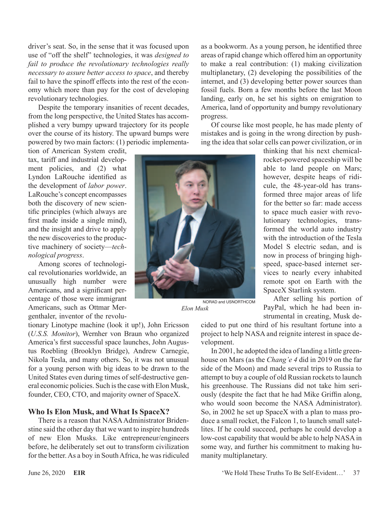driver's seat. So, in the sense that it was focused upon use of "off the shelf" technologies, it was *designed to fail to produce the revolutionary technologies really necessary to assure better access to space*, and thereby fail to have the spinoff effects into the rest of the economy which more than pay for the cost of developing revolutionary technologies.

Despite the temporary insanities of recent decades, from the long perspective, the United States has accomplished a very bumpy upward trajectory for its people over the course of its history. The upward bumps were powered by two main factors: (1) periodic implementa-

tion of American System credit, tax, tariff and industrial development policies, and (2) what Lyndon LaRouche identified as the development of *labor power*. LaRouche's concept encompasses both the discovery of new scientific principles (which always are first made inside a single mind), and the insight and drive to apply the new discoveries to the productive machinery of society—*technological progress*.

Among scores of technological revolutionaries worldwide, an unusually high number were Americans, and a significant percentage of those were immigrant Americans, such as Ottmar Mergenthaler, inventor of the revolu-

tionary Linotype machine (look it up!), John Ericsson (*U.S.S. Monitor*), Wernher von Braun who organized America's first successful space launches, John Augustus Roebling (Brooklyn Bridge), Andrew Carnegie, Nikola Tesla, and many others. So, it was not unusual for a young person with big ideas to be drawn to the United States even during times of self-destructive general economic policies. Such is the case with Elon Musk, founder, CEO, CTO, and majority owner of SpaceX.

### **Who Is Elon Musk, and What Is SpaceX?**

There is a reason that NASA Administrator Bridenstine said the other day that we want to inspire hundreds of new Elon Musks. Like entrepreneur/engineers before, he deliberately set out to transform civilization for the better. As a boy in South Africa, he was ridiculed as a bookworm. As a young person, he identified three areas of rapid change which offered him an opportunity to make a real contribution: (1) making civilization multiplanetary, (2) developing the possibilities of the internet, and (3) developing better power sources than fossil fuels. Born a few months before the last Moon landing, early on, he set his sights on emigration to America, land of opportunity and bumpy revolutionary progress.

Of course like most people, he has made plenty of mistakes and is going in the wrong direction by pushing the idea that solar cells can power civilization, or in



NORAD and USNORTHCOM *Elon Musk*

thinking that his next chemicalrocket-powered spaceship will be able to land people on Mars; however, despite heaps of ridicule, the 48-year-old has transformed three major areas of life for the better so far: made access to space much easier with revolutionary technologies, transformed the world auto industry with the introduction of the Tesla Model S electric sedan, and is now in process of bringing highspeed, space-based internet services to nearly every inhabited remote spot on Earth with the SpaceX Starlink system.

After selling his portion of PayPal, which he had been instrumental in creating, Musk de-

cided to put one third of his resultant fortune into a project to help NASA and reignite interest in space development.

In 2001, he adopted the idea of landing a little greenhouse on Mars (as the *Chang'e 4* did in 2019 on the far side of the Moon) and made several trips to Russia to attempt to buy a couple of old Russian rockets to launch his greenhouse. The Russians did not take him seriously (despite the fact that he had Mike Griffin along, who would soon become the NASA Administrator). So, in 2002 he set up SpaceX with a plan to mass produce a small rocket, the Falcon 1, to launch small satellites. If he could succeed, perhaps he could develop a low-cost capability that would be able to help NASA in some way, and further his commitment to making humanity multiplanetary.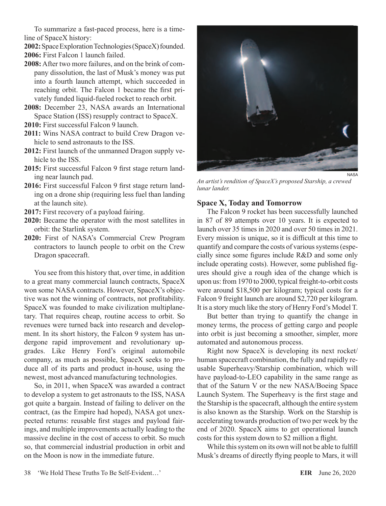To summarize a fast-paced process, here is a timeline of SpaceX history:

**2002:** Space Exploration Technologies (SpaceX) founded.

- **2006:** First Falcon 1 launch failed.
- **2008:** After two more failures, and on the brink of company dissolution, the last of Musk's money was put into a fourth launch attempt, which succeeded in reaching orbit. The Falcon 1 became the first privately funded liquid-fueled rocket to reach orbit.
- **2008:** December 23, NASA awards an International Space Station (ISS) resupply contract to SpaceX.
- **2010:** First successful Falcon 9 launch.
- **2011:** Wins NASA contract to build Crew Dragon vehicle to send astronauts to the ISS.
- **2012:** First launch of the unmanned Dragon supply vehicle to the ISS.
- **2015:** First successful Falcon 9 first stage return landing near launch pad.
- **2016:** First successful Falcon 9 first stage return landing on a drone ship (requiring less fuel than landing at the launch site).
- **2017:** First recovery of a payload fairing.
- **2020:** Became the operator with the most satellites in orbit: the Starlink system.
- **2020:** First of NASA's Commercial Crew Program contractors to launch people to orbit on the Crew Dragon spacecraft.

You see from this history that, over time, in addition to a great many commercial launch contracts, SpaceX won some NASA contracts. However, SpaceX's objective was not the winning of contracts, not profitability. SpaceX was founded to make civilization multiplanetary. That requires cheap, routine access to orbit. So revenues were turned back into research and development. In its short history, the Falcon 9 system has undergone rapid improvement and revolutionary upgrades. Like Henry Ford's original automobile company, as much as possible, SpaceX seeks to produce all of its parts and product in-house, using the newest, most advanced manufacturing technologies.

So, in 2011, when SpaceX was awarded a contract to develop a system to get astronauts to the ISS, NASA got quite a bargain. Instead of failing to deliver on the contract, (as the Empire had hoped), NASA got unexpected returns: reusable first stages and payload fairings, and multiple improvements actually leading to the massive decline in the cost of access to orbit. So much so, that commercial industrial production in orbit and on the Moon is now in the immediate future.



*An artist's rendition of SpaceX's proposed Starship, a crewed lunar lander.*

## **Space X, Today and Tomorrow**

The Falcon 9 rocket has been successfully launched in 87 of 89 attempts over 10 years. It is expected to launch over 35 times in 2020 and over 50 times in 2021. Every mission is unique, so it is difficult at this time to quantify and compare the costs of various systems (especially since some figures include R&D and some only include operating costs). However, some published figures should give a rough idea of the change which is upon us: from 1970 to 2000, typical freight-to-orbit costs were around \$18,500 per kilogram; typical costs for a Falcon 9 freight launch are around \$2,720 per kilogram. It is a story much like the story of Henry Ford's Model T.

But better than trying to quantify the change in money terms, the process of getting cargo and people into orbit is just becoming a smoother, simpler, more automated and autonomous process.

Right now SpaceX is developing its next rocket/ human spacecraft combination, the fully and rapidly reusable Superheavy/Starship combination, which will have payload-to-LEO capability in the same range as that of the Saturn V or the new NASA/Boeing Space Launch System. The Superheavy is the first stage and the Starship is the spacecraft, although the entire system is also known as the Starship. Work on the Starship is accelerating towards production of two per week by the end of 2020. SpaceX aims to get operational launch costs for this system down to \$2 million a flight.

While this system on its own will not be able to fulfill Musk's dreams of directly flying people to Mars, it will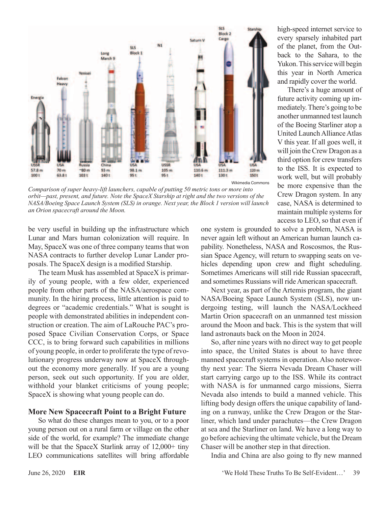

Wikimedia Commons

*Comparison of super heavy-lift launchers, capable of putting 50 metric tons or more into orbit—past, present, and future. Note the SpaceX Starship at right and the two versions of the NASA/Boeing Space Launch System (SLS) in orange. Next year, the Block 1 version will launch an Orion spacecraft around the Moon.*

be very useful in building up the infrastructure which Lunar and Mars human colonization will require. In May, SpaceX was one of three company teams that won NASA contracts to further develop Lunar Lander proposals. The SpaceX design is a modified Starship.

The team Musk has assembled at SpaceX is primarily of young people, with a few older, experienced people from other parts of the NASA/aerospace community. In the hiring process, little attention is paid to degrees or "academic credentials." What is sought is people with demonstrated abilities in independent construction or creation. The aim of LaRouche PAC's proposed Space Civilian Conservation Corps, or Space CCC, is to bring forward such capabilities in millions of young people, in order to proliferate the type of revolutionary progress underway now at SpaceX throughout the economy more generally. If you are a young person, seek out such opportunity. If you are older, withhold your blanket criticisms of young people; SpaceX is showing what young people can do.

#### **More New Spacecraft Point to a Bright Future**

So what do these changes mean to you, or to a poor young person out on a rural farm or village on the other side of the world, for example? The immediate change will be that the SpaceX Starlink array of  $12,000+$  tiny LEO communications satellites will bring affordable one system is grounded to solve a problem, NASA is never again left without an American human launch capability. Nonetheless, NASA and Roscosmos, the Russian Space Agency, will return to swapping seats on vehicles depending upon crew and flight scheduling. Sometimes Americans will still ride Russian spacecraft, and sometimes Russians will ride American spacecraft.

high-speed internet service to every sparsely inhabited part of the planet, from the Outback to the Sahara, to the Yukon. This service will begin this year in North America and rapidly cover the world. There's a huge amount of future activity coming up immediately. There's going to be another unmanned test launch of the Boeing Starliner atop a United Launch Alliance Atlas V this year. If all goes well, it will join the Crew Dragon as a third option for crew transfers to the ISS. It is expected to work well, but will probably be more expensive than the Crew Dragon system. In any case, NASA is determined to maintain multiple systems for access to LEO, so that even if

Next year, as part of the Artemis program, the giant NASA/Boeing Space Launch System (SLS), now undergoing testing, will launch the NASA/Lockheed Martin Orion spacecraft on an unmanned test mission around the Moon and back. This is the system that will land astronauts back on the Moon in 2024.

So, after nine years with no direct way to get people into space, the United States is about to have three manned spacecraft systems in operation. Also noteworthy next year: The Sierra Nevada Dream Chaser will start carrying cargo up to the ISS. While its contract with NASA is for unmanned cargo missions, Sierra Nevada also intends to build a manned vehicle. This lifting body design offers the unique capability of landing on a runway, unlike the Crew Dragon or the Starliner, which land under parachutes—the Crew Dragon at sea and the Starliner on land. We have a long way to go before achieving the ultimate vehicle, but the Dream Chaser will be another step in that direction.

India and China are also going to fly new manned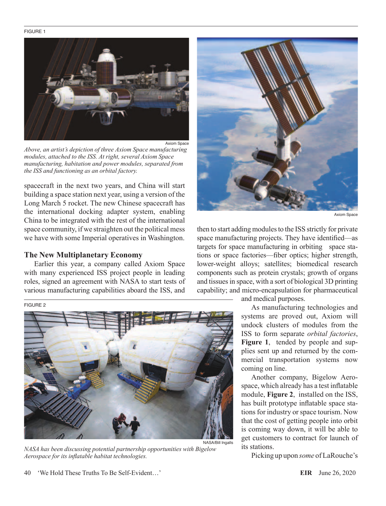#### FIGURE 1



*Above, an artist's depiction of three Axiom Space manufacturing modules, attached to the ISS. At right, several Axiom Space manufacturing, habitation and power modules, separated from the ISS and functioning as an orbital factory.*

spacecraft in the next two years, and China will start building a space station next year, using a version of the Long March 5 rocket. The new Chinese spacecraft has the international docking adapter system, enabling China to be integrated with the rest of the international space community, if we straighten out the political mess we have with some Imperial operatives in Washington.

#### **The New Multiplanetary Economy**

Earlier this year, a company called Axiom Space with many experienced ISS project people in leading roles, signed an agreement with NASA to start tests of various manufacturing capabilities aboard the ISS, and

#### FIGURE 2



*NASA has been discussing potential partnership opportunities with Bigelow Aerospace for its inflatable habitat technologies.*



Axiom Space

then to start adding modules to the ISS strictly for private space manufacturing projects. They have identified—as targets for space manufacturing in orbiting space stations or space factories—fiber optics; higher strength, lower-weight alloys; satellites; biomedical research components such as protein crystals; growth of organs and tissues in space, with a sort of biological 3D printing capability; and micro-encapsulation for pharmaceutical

and medical purposes.

As manufacturing technologies and systems are proved out, Axiom will undock clusters of modules from the ISS to form separate *orbital factories*, **Figure 1**, tended by people and supplies sent up and returned by the commercial transportation systems now coming on line.

Another company, Bigelow Aerospace, which already has a test inflatable module, **Figure 2**, installed on the ISS, has built prototype inflatable space stations for industry or space tourism. Now that the cost of getting people into orbit is coming way down, it will be able to get customers to contract for launch of its stations.

Picking up upon *some* of LaRouche's

40 'We Hold These Truths To Be Self-Evident…' **EIR** June 26, 2020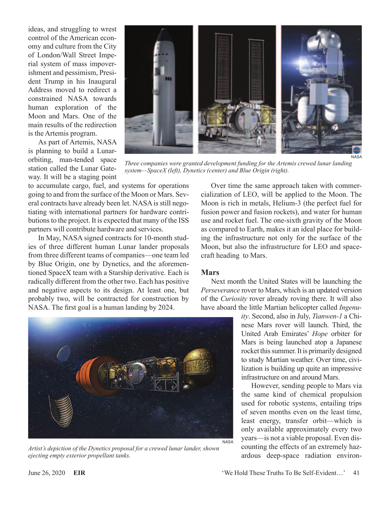ideas, and struggling to wrest control of the American economy and culture from the City of London/Wall Street Imperial system of mass impoverishment and pessimism, President Trump in his Inaugural Address moved to redirect a constrained NASA towards human exploration of the Moon and Mars. One of the main results of the redirection is the Artemis program.

As part of Artemis, NASA is planning to build a Lunarorbiting, man-tended space station called the Lunar Gateway. It will be a staging point

to accumulate cargo, fuel, and systems for operations going to and from the surface of the Moon or Mars. Several contracts have already been let. NASA is still negotiating with international partners for hardware contributions to the project. It is expected that many of the ISS partners will contribute hardware and services.

In May, NASA signed contracts for 10-month studies of three different human Lunar lander proposals from three different teams of companies—one team led by Blue Origin, one by Dynetics, and the aforementioned SpaceX team with a Starship derivative. Each is radically different from the other two. Each has positive and negative aspects to its design. At least one, but probably two, will be contracted for construction by NASA. The first goal is a human landing by 2024.

Over time the same approach taken with commercialization of LEO, will be applied to the Moon. The Moon is rich in metals, Helium-3 (the perfect fuel for fusion power and fusion rockets), and water for human use and rocket fuel. The one-sixth gravity of the Moon as compared to Earth, makes it an ideal place for building the infrastructure not only for the surface of the Moon, but also the infrastructure for LEO and spacecraft heading to Mars.

#### **Mars**

*system—SpaceX (left), Dynetics (center) and Blue Origin (right).*

Next month the United States will be launching the *Perseverance* rover to Mars, which is an updated version of the *Curiosity* rover already roving there. It will also have aboard the little Martian helicopter called *Ingenu-*

> *ity*. Second, also in July, *Tianwen-1* a Chinese Mars rover will launch. Third, the United Arab Emirates' *Hope* orbiter for Mars is being launched atop a Japanese rocket this summer. It is primarily designed to study Martian weather. Over time, civilization is building up quite an impressive infrastructure on and around Mars.

> However, sending people to Mars via the same kind of chemical propulsion used for robotic systems, entailing trips of seven months even on the least time, least energy, transfer orbit—which is only available approximately every two years—is not a viable proposal. Even discounting the effects of an extremely hazardous deep-space radiation environ-





*Three companies were granted development funding for the Artemis crewed lunar landing*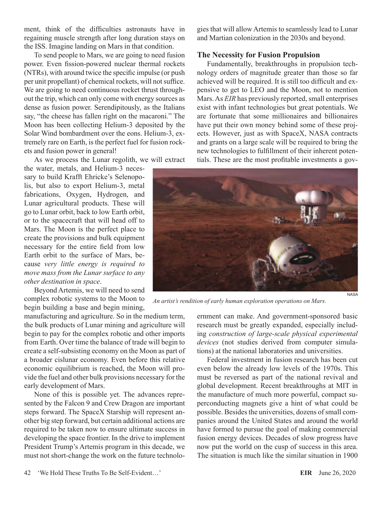ment, think of the difficulties astronauts have in regaining muscle strength after long duration stays on the ISS. Imagine landing on Mars in that condition.

To send people to Mars, we are going to need fusion power. Even fission-powered nuclear thermal rockets (NTRs), with around twice the specific impulse (or push per unit propellant) of chemical rockets, will not suffice. We are going to need continuous rocket thrust throughout the trip, which can only come with energy sources as dense as fusion power. Serendipitously, as the Italians say, "the cheese has fallen right on the macaroni." The Moon has been collecting Helium-3 deposited by the Solar Wind bombardment over the eons. Helium-3, extremely rare on Earth, is the perfect fuel for fusion rockets and fusion power in general!

As we process the Lunar regolith, we will extract

the water, metals, and Helium-3 necessary to build Krafft Ehricke's Selenopolis, but also to export Helium-3, metal fabrications, Oxygen, Hydrogen, and Lunar agricultural products. These will go to Lunar orbit, back to low Earth orbit, or to the spacecraft that will head off to Mars. The Moon is the perfect place to create the provisions and bulk equipment necessary for the entire field from low Earth orbit to the surface of Mars, because *very little energy is required to move mass from the Lunar surface to any other destination in space*.

Beyond Artemis, we will need to send complex robotic systems to the Moon to begin building a base and begin mining,

manufacturing and agriculture. So in the medium term, the bulk products of Lunar mining and agriculture will begin to pay for the complex robotic and other imports from Earth. Over time the balance of trade will begin to create a self-subsisting economy on the Moon as part of a broader cislunar economy. Even before this relative economic equilibrium is reached, the Moon will provide the fuel and other bulk provisions necessary for the early development of Mars.

None of this is possible yet. The advances represented by the Falcon 9 and Crew Dragon are important steps forward. The SpaceX Starship will represent another big step forward, but certain additional actions are required to be taken now to ensure ultimate success in developing the space frontier. In the drive to implement President Trump's Artemis program in this decade, we must not short-change the work on the future technologies that will allow Artemis to seamlessly lead to Lunar and Martian colonization in the 2030s and beyond.

#### **The Necessity for Fusion Propulsion**

Fundamentally, breakthroughs in propulsion technology orders of magnitude greater than those so far achieved will be required. It is still too difficult and expensive to get to LEO and the Moon, not to mention Mars. As *EIR* has previously reported, small enterprises exist with infant technologies but great potentials. We are fortunate that some millionaires and billionaires have put their own money behind some of these projects. However, just as with SpaceX, NASA contracts and grants on a large scale will be required to bring the new technologies to fulfillment of their inherent potentials. These are the most profitable investments a gov-



*An artist's rendition of early human exploration operations on Mars.*

ernment can make. And government-sponsored basic research must be greatly expanded, especially including *construction of large-scale physical experimental devices* (not studies derived from computer simulations) at the national laboratories and universities.

Federal investment in fusion research has been cut even below the already low levels of the 1970s. This must be reversed as part of the national revival and global development. Recent breakthroughs at MIT in the manufacture of much more powerful, compact superconducting magnets give a hint of what could be possible. Besides the universities, dozens of small companies around the United States and around the world have formed to pursue the goal of making commercial fusion energy devices. Decades of slow progress have now put the world on the cusp of success in this area. The situation is much like the similar situation in 1900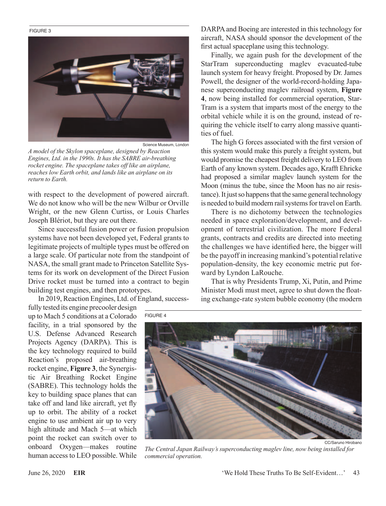#### FIGURE 3



Science Museum, London

*A model of the Skylon spaceplane, designed by Reaction Engines, Ltd. in the 1990s. It has the SABRE air-breathing rocket engine. The spaceplane takes off like an airplane, reaches low Earth orbit, and lands like an airplane on its return to Earth.*

with respect to the development of powered aircraft. We do not know who will be the new Wilbur or Orville Wright, or the new Glenn Curtiss, or Louis Charles Joseph Blériot, but they are out there.

Since successful fusion power or fusion propulsion systems have not been developed yet, Federal grants to legitimate projects of multiple types must be offered on a large scale. Of particular note from the standpoint of NASA, the small grant made to Princeton Satellite Systems for its work on development of the Direct Fusion Drive rocket must be turned into a contract to begin building test engines, and then prototypes.

In 2019, Reaction Engines, Ltd. of England, success-

fully tested its engine precooler design up to Mach 5 conditions at a Colorado facility, in a trial sponsored by the U.S. Defense Advanced Research Projects Agency (DARPA). This is the key technology required to build Reaction's proposed air-breathing rocket engine, **Figure 3**, the Synergistic Air Breathing Rocket Engine (SABRE). This technology holds the key to building space planes that can take off and land like aircraft, yet fly up to orbit. The ability of a rocket engine to use ambient air up to very high altitude and Mach 5—at which point the rocket can switch over to onboard Oxygen—makes routine human access to LEO possible. While

FIGURE 4

DARPA and Boeing are interested in this technology for aircraft, NASA should sponsor the development of the first actual spaceplane using this technology.

Finally, we again push for the development of the StarTram superconducting maglev evacuated-tube launch system for heavy freight. Proposed by Dr. James Powell, the designer of the world-record-holding Japanese superconducting maglev railroad system, **Figure 4**, now being installed for commercial operation, Star-Tram is a system that imparts most of the energy to the orbital vehicle while it is on the ground, instead of requiring the vehicle itself to carry along massive quantities of fuel.

The high G forces associated with the first version of this system would make this purely a freight system, but would promise the cheapest freight delivery to LEO from Earth of any known system. Decades ago, Krafft Ehricke had proposed a similar maglev launch system for the Moon (minus the tube, since the Moon has no air resistance). It just so happens that the same general technology is needed to build modern rail systems for travel on Earth.

There is no dichotomy between the technologies needed in space exploration/development, and development of terrestrial civilization. The more Federal grants, contracts and credits are directed into meeting the challenges we have identified here, the bigger will be the payoff in increasing mankind's potential relative population-density, the key economic metric put forward by Lyndon LaRouche.

That is why Presidents Trump, Xi, Putin, and Prime Minister Modi must meet, agree to shut down the floating exchange-rate system bubble economy (the modern



*The Central Japan Railway's superconducting maglev line, now being installed for commercial operation.*